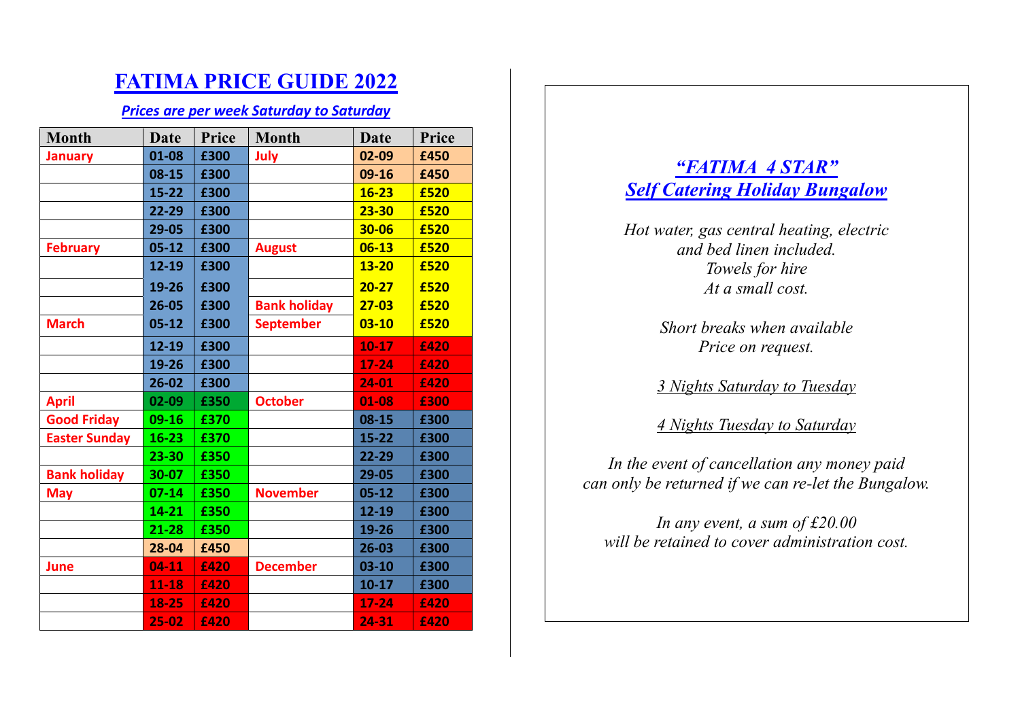# **FATIMA PRICE GUIDE 2022**

### *Prices are per week Saturday to Saturday*

| <b>Month</b>         | <b>Date</b> | Price | <b>Month</b>        | <b>Date</b> | Price |
|----------------------|-------------|-------|---------------------|-------------|-------|
| <b>January</b>       | 01-08       | £300  | July                | 02-09       | £450  |
|                      | $08 - 15$   | £300  |                     | 09-16       | £450  |
|                      | $15 - 22$   | £300  |                     | $16 - 23$   | £520  |
|                      | 22-29       | £300  |                     | $23 - 30$   | £520  |
|                      | 29-05       | £300  |                     | 30-06       | £520  |
| <b>February</b>      | $05 - 12$   | £300  | <b>August</b>       | $06 - 13$   | £520  |
|                      | 12-19       | £300  |                     | $13 - 20$   | £520  |
|                      | 19-26       | £300  |                     | $20 - 27$   | £520  |
|                      | $26 - 05$   | £300  | <b>Bank holiday</b> | $27 - 03$   | £520  |
| <b>March</b>         | $05 - 12$   | £300  | <b>September</b>    | $03 - 10$   | £520  |
|                      | 12-19       | £300  |                     | $10 - 17$   | £420  |
|                      | 19-26       | £300  |                     | $17 - 24$   | £420  |
|                      | $26 - 02$   | £300  |                     | 24-01       | £420  |
| <b>April</b>         | 02-09       | £350  | <b>October</b>      | 01-08       | £300  |
| <b>Good Friday</b>   | $09-16$     | £370  |                     | $08 - 15$   | £300  |
| <b>Easter Sunday</b> | $16 - 23$   | £370  |                     | $15 - 22$   | £300  |
|                      | $23 - 30$   | £350  |                     | $22 - 29$   | £300  |
| <b>Bank holiday</b>  | 30-07       | £350  |                     | 29-05       | £300  |
| <b>May</b>           | $07 - 14$   | £350  | <b>November</b>     | $05 - 12$   | £300  |
|                      | 14-21       | £350  |                     | 12-19       | £300  |
|                      | $21 - 28$   | £350  |                     | 19-26       | £300  |
|                      | 28-04       | £450  |                     | $26 - 03$   | £300  |
| June                 | $04 - 11$   | £420  | <b>December</b>     | $03 - 10$   | £300  |
|                      | $11 - 18$   | £420  |                     | $10 - 17$   | £300  |
|                      | 18-25       | £420  |                     | $17 - 24$   | £420  |
|                      | 25-02       | £420  |                     | 24-31       | £420  |

# *"FATIMA 4 STAR" Self Catering Holiday Bungalow*

*Hot water, gas central heating, electric and bed linen included. Towels for hire At a small cost.*

> *Short breaks when available Price on request.*

*3 Nights Saturday to Tuesday*

*4 Nights Tuesday to Saturday*

*In the event of cancellation any money paid can only be returned if we can re-let the Bungalow.*

*In any event, a sum of £20.00 will be retained to cover administration cost.*